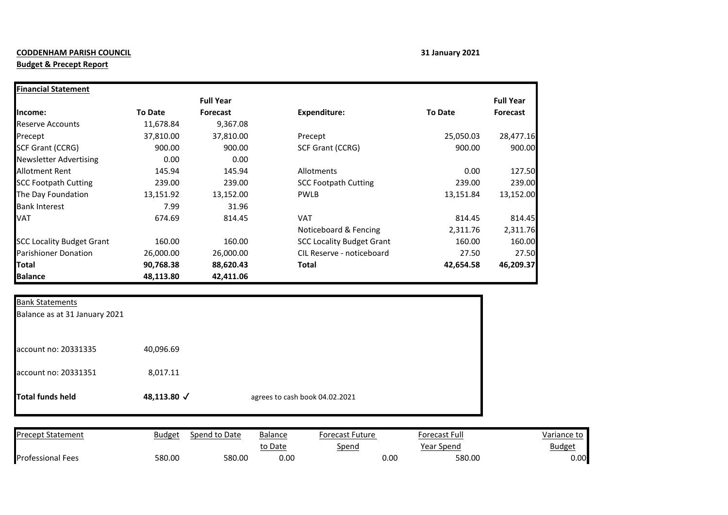## **CODDENHAM PARISH COUNCIL 31 January 2021**

## **Budget & Precept Report**

| <b>Financial Statement</b>       |                |                  |                                  |                |                  |
|----------------------------------|----------------|------------------|----------------------------------|----------------|------------------|
|                                  |                | <b>Full Year</b> |                                  |                | <b>Full Year</b> |
| Income:                          | <b>To Date</b> | <b>Forecast</b>  | <b>Expenditure:</b>              | <b>To Date</b> | <b>Forecast</b>  |
| <b>Reserve Accounts</b>          | 11,678.84      | 9,367.08         |                                  |                |                  |
| Precept                          | 37,810.00      | 37,810.00        | Precept                          | 25,050.03      | 28,477.16        |
| <b>SCF Grant (CCRG)</b>          | 900.00         | 900.00           | <b>SCF Grant (CCRG)</b>          | 900.00         | 900.00           |
| <b>Newsletter Advertising</b>    | 0.00           | 0.00             |                                  |                |                  |
| Allotment Rent                   | 145.94         | 145.94           | Allotments                       | 0.00           | 127.50           |
| <b>SCC Footpath Cutting</b>      | 239.00         | 239.00           | <b>SCC Footpath Cutting</b>      | 239.00         | 239.00           |
| The Day Foundation               | 13,151.92      | 13,152.00        | <b>PWLB</b>                      | 13,151.84      | 13,152.00        |
| <b>Bank Interest</b>             | 7.99           | 31.96            |                                  |                |                  |
| VAT                              | 674.69         | 814.45           | <b>VAT</b>                       | 814.45         | 814.45           |
|                                  |                |                  | Noticeboard & Fencing            | 2,311.76       | 2,311.76         |
| <b>SCC Locality Budget Grant</b> | 160.00         | 160.00           | <b>SCC Locality Budget Grant</b> | 160.00         | 160.00           |
| <b>Parishioner Donation</b>      | 26,000.00      | 26,000.00        | CIL Reserve - noticeboard        | 27.50          | 27.50            |
| <b>Total</b>                     | 90,768.38      | 88,620.43        | Total                            | 42,654.58      | 46,209.37        |
| <b>Balance</b>                   | 48,113.80      | 42,411.06        |                                  |                |                  |

| <b>Total funds held</b>       | 48,113.80 √ | agrees to cash book 04.02.2021 |  |
|-------------------------------|-------------|--------------------------------|--|
| account no: 20331351          | 8,017.11    |                                |  |
| account no: 20331335          | 40,096.69   |                                |  |
| Balance as at 31 January 2021 |             |                                |  |
| Bank Statements               |             |                                |  |

| <b>Precept Statement</b> | <b>Budget</b> | Spend to Date | <b>Balance</b> | Forecast Future | Forecast Full | Variance to    |
|--------------------------|---------------|---------------|----------------|-----------------|---------------|----------------|
|                          |               |               | to Date        | Spend           | Year Spend    | <u>Budget</u>  |
| <b>Professional Fees</b> | 580.00        | 580.00        | 0.00           |                 | 0.00          | 0.00<br>580.00 |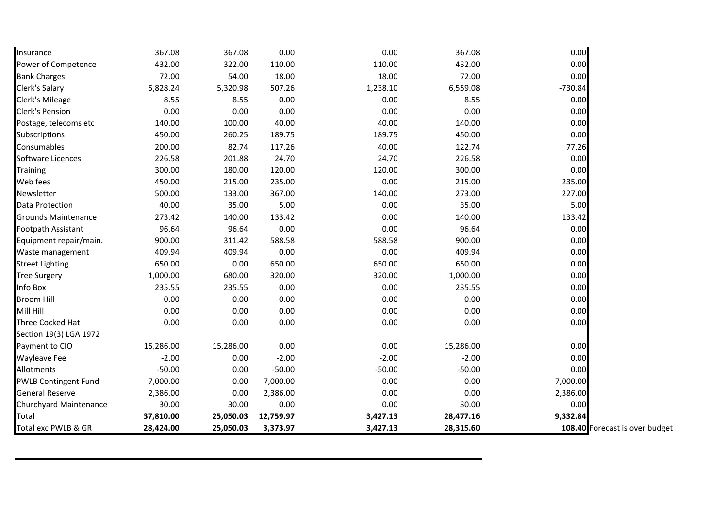| Insurance                   | 367.08    | 367.08    | 0.00      | 0.00     | 367.08    | 0.00      |                                |
|-----------------------------|-----------|-----------|-----------|----------|-----------|-----------|--------------------------------|
| Power of Competence         | 432.00    | 322.00    | 110.00    | 110.00   | 432.00    | 0.00      |                                |
| <b>Bank Charges</b>         | 72.00     | 54.00     | 18.00     | 18.00    | 72.00     | 0.00      |                                |
| Clerk's Salary              | 5,828.24  | 5,320.98  | 507.26    | 1,238.10 | 6,559.08  | $-730.84$ |                                |
| Clerk's Mileage             | 8.55      | 8.55      | 0.00      | 0.00     | 8.55      | 0.00      |                                |
| Clerk's Pension             | 0.00      | 0.00      | 0.00      | 0.00     | 0.00      | 0.00      |                                |
| Postage, telecoms etc       | 140.00    | 100.00    | 40.00     | 40.00    | 140.00    | 0.00      |                                |
| Subscriptions               | 450.00    | 260.25    | 189.75    | 189.75   | 450.00    | 0.00      |                                |
| Consumables                 | 200.00    | 82.74     | 117.26    | 40.00    | 122.74    | 77.26     |                                |
| Software Licences           | 226.58    | 201.88    | 24.70     | 24.70    | 226.58    | 0.00      |                                |
| <b>Training</b>             | 300.00    | 180.00    | 120.00    | 120.00   | 300.00    | 0.00      |                                |
| Web fees                    | 450.00    | 215.00    | 235.00    | 0.00     | 215.00    | 235.00    |                                |
| Newsletter                  | 500.00    | 133.00    | 367.00    | 140.00   | 273.00    | 227.00    |                                |
| Data Protection             | 40.00     | 35.00     | 5.00      | 0.00     | 35.00     | 5.00      |                                |
| Grounds Maintenance         | 273.42    | 140.00    | 133.42    | 0.00     | 140.00    | 133.42    |                                |
| Footpath Assistant          | 96.64     | 96.64     | 0.00      | 0.00     | 96.64     | 0.00      |                                |
| Equipment repair/main.      | 900.00    | 311.42    | 588.58    | 588.58   | 900.00    | 0.00      |                                |
| Waste management            | 409.94    | 409.94    | 0.00      | 0.00     | 409.94    | 0.00      |                                |
| <b>Street Lighting</b>      | 650.00    | 0.00      | 650.00    | 650.00   | 650.00    | 0.00      |                                |
| <b>Tree Surgery</b>         | 1,000.00  | 680.00    | 320.00    | 320.00   | 1,000.00  | 0.00      |                                |
| Info Box                    | 235.55    | 235.55    | 0.00      | 0.00     | 235.55    | 0.00      |                                |
| <b>Broom Hill</b>           | 0.00      | 0.00      | 0.00      | 0.00     | 0.00      | 0.00      |                                |
| Mill Hill                   | 0.00      | 0.00      | 0.00      | 0.00     | 0.00      | 0.00      |                                |
| Three Cocked Hat            | 0.00      | 0.00      | 0.00      | 0.00     | 0.00      | 0.00      |                                |
| Section 19(3) LGA 1972      |           |           |           |          |           |           |                                |
| Payment to CIO              | 15,286.00 | 15,286.00 | 0.00      | 0.00     | 15,286.00 | 0.00      |                                |
| Wayleave Fee                | $-2.00$   | 0.00      | $-2.00$   | $-2.00$  | $-2.00$   | 0.00      |                                |
| Allotments                  | $-50.00$  | 0.00      | $-50.00$  | $-50.00$ | $-50.00$  | 0.00      |                                |
| <b>PWLB Contingent Fund</b> | 7,000.00  | 0.00      | 7,000.00  | 0.00     | 0.00      | 7,000.00  |                                |
| <b>General Reserve</b>      | 2,386.00  | 0.00      | 2,386.00  | 0.00     | 0.00      | 2,386.00  |                                |
| Churchyard Maintenance      | 30.00     | 30.00     | 0.00      | 0.00     | 30.00     | 0.00      |                                |
| Total                       | 37,810.00 | 25,050.03 | 12,759.97 | 3,427.13 | 28,477.16 | 9,332.84  |                                |
| Total exc PWLB & GR         | 28,424.00 | 25,050.03 | 3,373.97  | 3,427.13 | 28,315.60 |           | 108.40 Forecast is over budget |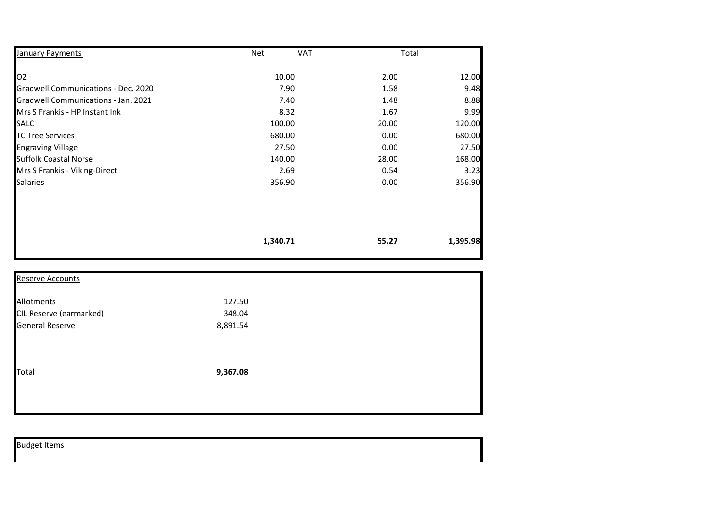| January Payments                    | <b>VAT</b><br>Net | Total |          |
|-------------------------------------|-------------------|-------|----------|
| O <sub>2</sub>                      | 10.00             | 2.00  | 12.00    |
| Gradwell Communications - Dec. 2020 | 7.90              | 1.58  | 9.48     |
| Gradwell Communications - Jan. 2021 | 7.40              | 1.48  | 8.88     |
| Mrs S Frankis - HP Instant Ink      | 8.32              | 1.67  | 9.99     |
| <b>SALC</b>                         | 100.00            | 20.00 | 120.00   |
| <b>TC Tree Services</b>             | 680.00            | 0.00  | 680.00   |
| <b>Engraving Village</b>            | 27.50             | 0.00  | 27.50    |
| <b>Suffolk Coastal Norse</b>        | 140.00            | 28.00 | 168.00   |
| Mrs S Frankis - Viking-Direct       | 2.69              | 0.54  | 3.23     |
| <b>Salaries</b>                     | 356.90            | 0.00  | 356.90   |
|                                     |                   |       |          |
|                                     | 1,340.71          | 55.27 | 1,395.98 |

| <b>Reserve Accounts</b> |          |  |
|-------------------------|----------|--|
| Allotments              | 127.50   |  |
| CIL Reserve (earmarked) | 348.04   |  |
| <b>General Reserve</b>  | 8,891.54 |  |
| Total                   | 9,367.08 |  |
|                         |          |  |

|  | <b>Budget Items</b> |
|--|---------------------|
|  |                     |